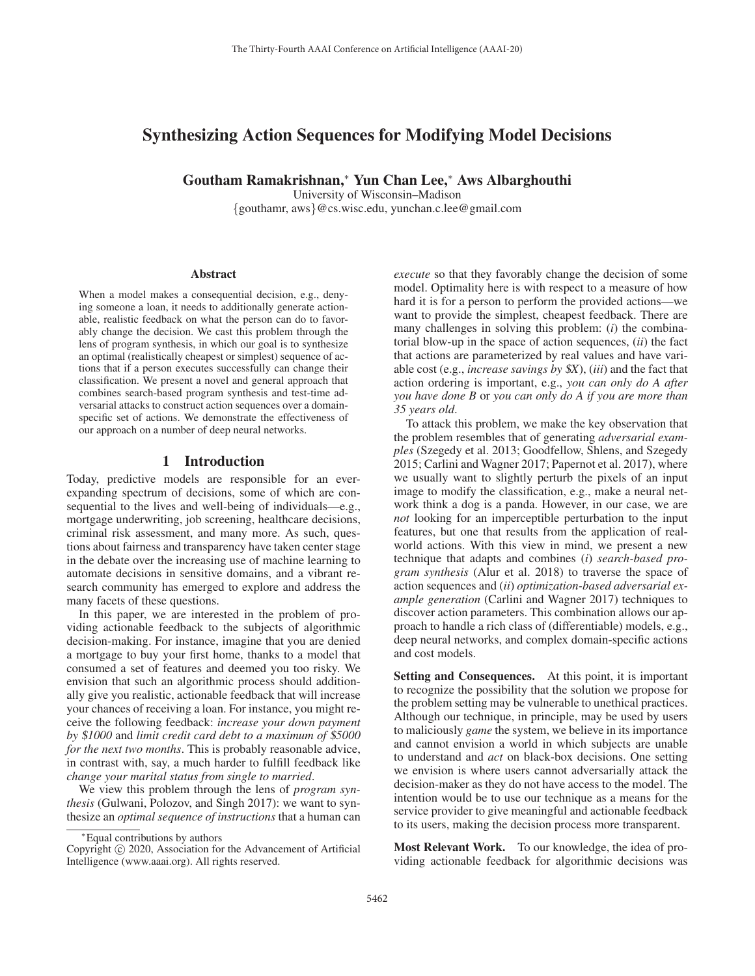# Synthesizing Action Sequences for Modifying Model Decisions

Goutham Ramakrishnan,<sup>∗</sup> Yun Chan Lee,<sup>∗</sup> Aws Albarghouthi

University of Wisconsin–Madison

{gouthamr, aws}@cs.wisc.edu, yunchan.c.lee@gmail.com

#### **Abstract**

When a model makes a consequential decision, e.g., denying someone a loan, it needs to additionally generate actionable, realistic feedback on what the person can do to favorably change the decision. We cast this problem through the lens of program synthesis, in which our goal is to synthesize an optimal (realistically cheapest or simplest) sequence of actions that if a person executes successfully can change their classification. We present a novel and general approach that combines search-based program synthesis and test-time adversarial attacks to construct action sequences over a domainspecific set of actions. We demonstrate the effectiveness of our approach on a number of deep neural networks.

### 1 Introduction

Today, predictive models are responsible for an everexpanding spectrum of decisions, some of which are consequential to the lives and well-being of individuals—e.g., mortgage underwriting, job screening, healthcare decisions, criminal risk assessment, and many more. As such, questions about fairness and transparency have taken center stage in the debate over the increasing use of machine learning to automate decisions in sensitive domains, and a vibrant research community has emerged to explore and address the many facets of these questions.

In this paper, we are interested in the problem of providing actionable feedback to the subjects of algorithmic decision-making. For instance, imagine that you are denied a mortgage to buy your first home, thanks to a model that consumed a set of features and deemed you too risky. We envision that such an algorithmic process should additionally give you realistic, actionable feedback that will increase your chances of receiving a loan. For instance, you might receive the following feedback: *increase your down payment by* \$*1000* and *limit credit card debt to a maximum of* \$*5000 for the next two months*. This is probably reasonable advice, in contrast with, say, a much harder to fulfill feedback like *change your marital status from single to married*.

We view this problem through the lens of *program synthesis* (Gulwani, Polozov, and Singh 2017): we want to synthesize an *optimal sequence of instructions* that a human can *execute* so that they favorably change the decision of some model. Optimality here is with respect to a measure of how hard it is for a person to perform the provided actions—we want to provide the simplest, cheapest feedback. There are many challenges in solving this problem: (*i*) the combinatorial blow-up in the space of action sequences, (*ii*) the fact that actions are parameterized by real values and have variable cost (e.g., *increase savings by* \$*X*), (*iii*) and the fact that action ordering is important, e.g., *you can only do A after you have done B* or *you can only do A if you are more than 35 years old*.

To attack this problem, we make the key observation that the problem resembles that of generating *adversarial examples* (Szegedy et al. 2013; Goodfellow, Shlens, and Szegedy 2015; Carlini and Wagner 2017; Papernot et al. 2017), where we usually want to slightly perturb the pixels of an input image to modify the classification, e.g., make a neural network think a dog is a panda. However, in our case, we are *not* looking for an imperceptible perturbation to the input features, but one that results from the application of realworld actions. With this view in mind, we present a new technique that adapts and combines (*i*) *search-based program synthesis* (Alur et al. 2018) to traverse the space of action sequences and (*ii*) *optimization-based adversarial example generation* (Carlini and Wagner 2017) techniques to discover action parameters. This combination allows our approach to handle a rich class of (differentiable) models, e.g., deep neural networks, and complex domain-specific actions and cost models.

Setting and Consequences. At this point, it is important to recognize the possibility that the solution we propose for the problem setting may be vulnerable to unethical practices. Although our technique, in principle, may be used by users to maliciously *game* the system, we believe in its importance and cannot envision a world in which subjects are unable to understand and *act* on black-box decisions. One setting we envision is where users cannot adversarially attack the decision-maker as they do not have access to the model. The intention would be to use our technique as a means for the service provider to give meaningful and actionable feedback to its users, making the decision process more transparent.

Most Relevant Work. To our knowledge, the idea of providing actionable feedback for algorithmic decisions was

<sup>∗</sup>Equal contributions by authors

Copyright  $\odot$  2020, Association for the Advancement of Artificial Intelligence (www.aaai.org). All rights reserved.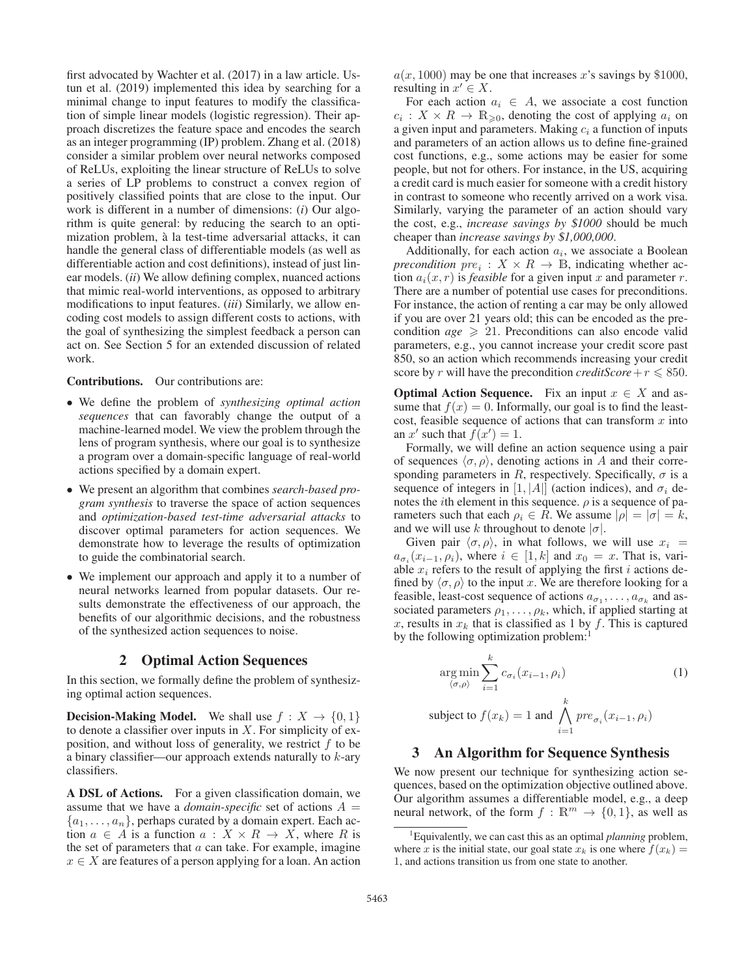first advocated by Wachter et al. (2017) in a law article. Ustun et al. (2019) implemented this idea by searching for a minimal change to input features to modify the classification of simple linear models (logistic regression). Their approach discretizes the feature space and encodes the search as an integer programming (IP) problem. Zhang et al. (2018) consider a similar problem over neural networks composed of ReLUs, exploiting the linear structure of ReLUs to solve a series of LP problems to construct a convex region of positively classified points that are close to the input. Our work is different in a number of dimensions: (*i*) Our algorithm is quite general: by reducing the search to an optimization problem, a la test-time adversarial attacks, it can ` handle the general class of differentiable models (as well as differentiable action and cost definitions), instead of just linear models. (*ii*) We allow defining complex, nuanced actions that mimic real-world interventions, as opposed to arbitrary modifications to input features. (*iii*) Similarly, we allow encoding cost models to assign different costs to actions, with the goal of synthesizing the simplest feedback a person can act on. See Section 5 for an extended discussion of related work.

#### Contributions. Our contributions are:

- We define the problem of *synthesizing optimal action sequences* that can favorably change the output of a machine-learned model. We view the problem through the lens of program synthesis, where our goal is to synthesize a program over a domain-specific language of real-world actions specified by a domain expert.
- We present an algorithm that combines *search-based program synthesis* to traverse the space of action sequences and *optimization-based test-time adversarial attacks* to discover optimal parameters for action sequences. We demonstrate how to leverage the results of optimization to guide the combinatorial search.
- We implement our approach and apply it to a number of neural networks learned from popular datasets. Our results demonstrate the effectiveness of our approach, the benefits of our algorithmic decisions, and the robustness of the synthesized action sequences to noise.

### 2 Optimal Action Sequences

In this section, we formally define the problem of synthesizing optimal action sequences.

**Decision-Making Model.** We shall use  $f : X \to \{0, 1\}$ to denote a classifier over inputs in  $X$ . For simplicity of exposition, and without loss of generality, we restrict  $f$  to be a binary classifier—our approach extends naturally to  $k$ -ary classifiers.

A DSL of Actions. For a given classification domain, we assume that we have a *domain-specific* set of actions  $A =$  $\{a_1,\ldots,a_n\}$ , perhaps curated by a domain expert. Each action  $a \in A$  is a function  $a: X \times R \rightarrow X$ , where R is the set of parameters that  $a$  can take. For example, imagine  $x \in X$  are features of a person applying for a loan. An action  $a(x, 1000)$  may be one that increases x's savings by \$1000, resulting in  $x' \in X$ .

For each action  $a_i \in A$ , we associate a cost function  $c_i : X \times R \to \mathbb{R}_{\geqslant 0}$ , denoting the cost of applying  $a_i$  on a given input and parameters. Making  $c_i$  a function of inputs a given input and parameters. Making  $c_i$  a function of inputs and parameters of an action allows us to define fine-grained cost functions, e.g., some actions may be easier for some people, but not for others. For instance, in the US, acquiring a credit card is much easier for someone with a credit history in contrast to someone who recently arrived on a work visa. Similarly, varying the parameter of an action should vary the cost, e.g., *increase savings by* \$*1000* should be much cheaper than *increase savings by* \$*1,000,000*.

Additionally, for each action  $a_i$ , we associate a Boolean *precondition*  $pre_i : X \times R \rightarrow \mathbb{B}$ , indicating whether action  $a_i(x, r)$  is *feasible* for a given input x and parameter r. There are a number of potential use cases for preconditions. For instance, the action of renting a car may be only allowed if you are over 21 years old; this can be encoded as the precondition  $age \ge 21$ . Preconditions can also encode valid<br>parameters e.g. you cannot increase your credit score past parameters, e.g., you cannot increase your credit score past 850, so an action which recommends increasing your credit score by r will have the precondition *creditScore* +  $r \le 850$ .

**Optimal Action Sequence.** Fix an input  $x \in X$  and assume that  $f(x)=0$ . Informally, our goal is to find the leastcost, feasible sequence of actions that can transform  $x$  into an x' such that  $f(x') = 1$ .<br>Formally we will defin

Formally, we will define an action sequence using a pair of sequences  $\langle \sigma, \rho \rangle$ , denoting actions in A and their corresponding parameters in R, respectively. Specifically,  $\sigma$  is a sequence of integers in [1, |A|| (action indices), and  $\sigma_i$  denotes the *i*th element in this sequence.  $\rho$  is a sequence of parameters such that each  $\rho_i \in R$ . We assume  $|\rho| = |\sigma| = k$ , and we will use k throughout to denote  $|\sigma|$ .

Given pair  $\langle \sigma, \rho \rangle$ , in what follows, we will use  $x_i$  =  $a_{\sigma i}$  ( $x_{i-1}, \rho_i$ ), where  $i \in [1, k]$  and  $x_0 = x$ . That is, variable  $x_i$  refers to the result of applying the first i actions defined by  $\langle \sigma, \rho \rangle$  to the input x. We are therefore looking for a feasible, least-cost sequence of actions  $a_{\sigma_1}, \ldots, a_{\sigma_k}$  and associated parameters  $\rho_1, \ldots, \rho_k$ , which, if applied starting at x, results in  $x_k$  that is classified as 1 by f. This is captured by the following optimization problem:

$$
\underset{\langle \sigma, \rho \rangle}{\arg \min} \sum_{i=1}^{k} c_{\sigma_i}(x_{i-1}, \rho_i)
$$
\n
$$
\text{subject to } f(x_k) = 1 \text{ and } \bigwedge_{i=1}^{k} pre_{\sigma_i}(x_{i-1}, \rho_i)
$$
\n
$$
(1)
$$

#### 3 An Algorithm for Sequence Synthesis

We now present our technique for synthesizing action sequences, based on the optimization objective outlined above. Our algorithm assumes a differentiable model, e.g., a deep neural network, of the form  $f : \mathbb{R}^m \to \{0, 1\}$ , as well as

<sup>1</sup> Equivalently, we can cast this as an optimal *planning* problem, where x is the initial state, our goal state  $x_k$  is one where  $f(x_k) =$ 1, and actions transition us from one state to another.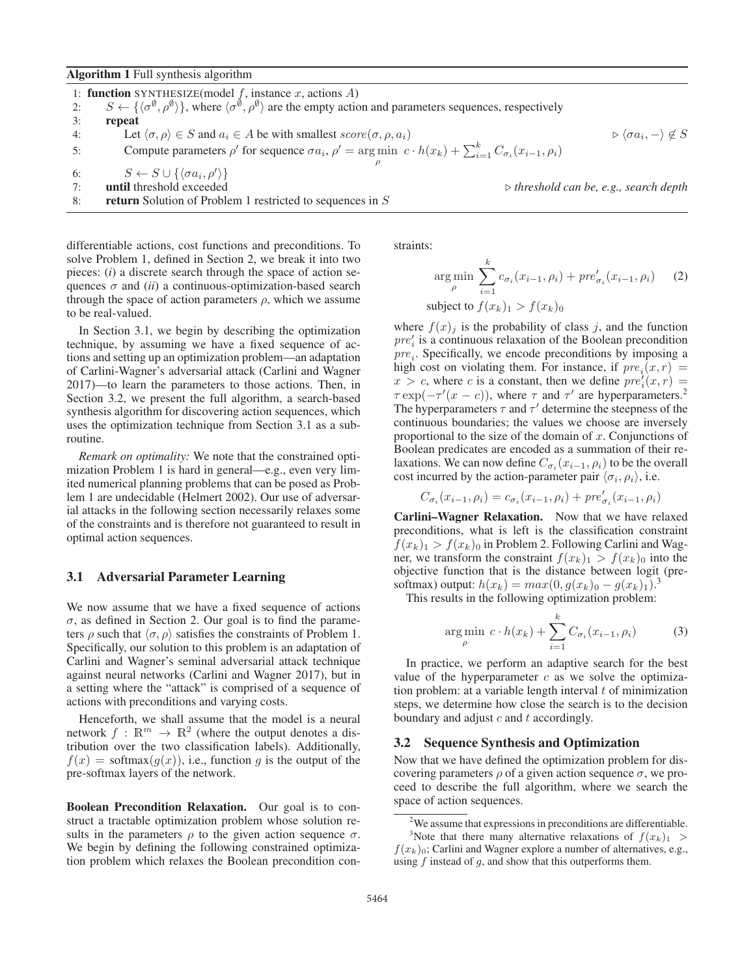#### Algorithm 1 Full synthesis algorithm

|    | 1: <b>function</b> SYNTHESIZE(model $f$ , instance $x$ , actions $A$ )                                                                                                                               |                                                         |
|----|------------------------------------------------------------------------------------------------------------------------------------------------------------------------------------------------------|---------------------------------------------------------|
| 2: | $S \leftarrow \{ \langle \sigma^{\emptyset}, \rho^{\emptyset} \rangle \}$ , where $\langle \sigma^{\emptyset}, \rho^{\emptyset} \rangle$ are the empty action and parameters sequences, respectively |                                                         |
| 3: | repeat                                                                                                                                                                                               |                                                         |
| 4: | Let $\langle \sigma, \rho \rangle \in S$ and $a_i \in A$ be with smallest $score(\sigma, \rho, a_i)$                                                                                                 | $\triangleright \langle \sigma a_i, - \rangle \notin S$ |
| 5: | Compute parameters $\rho'$ for sequence $\sigma a_i$ , $\rho' = \arg \min c \cdot h(x_k) + \sum_{i=1}^k C_{\sigma_i}(x_{i-1}, \rho_i)$                                                               |                                                         |
|    |                                                                                                                                                                                                      |                                                         |
| 6: | $S \leftarrow S \cup \{\langle \sigma a_i, \rho' \rangle\}$                                                                                                                                          |                                                         |
| 7: | until threshold exceeded                                                                                                                                                                             | $\triangleright$ threshold can be, e.g., search depth   |
| 8: | return Solution of Problem 1 restricted to sequences in $S$                                                                                                                                          |                                                         |

differentiable actions, cost functions and preconditions. To solve Problem 1, defined in Section 2, we break it into two pieces: (*i*) a discrete search through the space of action sequences  $\sigma$  and *(ii)* a continuous-optimization-based search through the space of action parameters  $\rho$ , which we assume to be real-valued.

In Section 3.1, we begin by describing the optimization technique, by assuming we have a fixed sequence of actions and setting up an optimization problem—an adaptation of Carlini-Wagner's adversarial attack (Carlini and Wagner 2017)—to learn the parameters to those actions. Then, in Section 3.2, we present the full algorithm, a search-based synthesis algorithm for discovering action sequences, which uses the optimization technique from Section 3.1 as a subroutine.

*Remark on optimality:* We note that the constrained optimization Problem 1 is hard in general—e.g., even very limited numerical planning problems that can be posed as Problem 1 are undecidable (Helmert 2002). Our use of adversarial attacks in the following section necessarily relaxes some of the constraints and is therefore not guaranteed to result in optimal action sequences.

#### 3.1 Adversarial Parameter Learning

We now assume that we have a fixed sequence of actions  $\sigma$ , as defined in Section 2. Our goal is to find the parameters  $\rho$  such that  $\langle \sigma, \rho \rangle$  satisfies the constraints of Problem 1. Specifically, our solution to this problem is an adaptation of Carlini and Wagner's seminal adversarial attack technique against neural networks (Carlini and Wagner 2017), but in a setting where the "attack" is comprised of a sequence of actions with preconditions and varying costs.

Henceforth, we shall assume that the model is a neural network  $f : \mathbb{R}^m \to \mathbb{R}^2$  (where the output denotes a distribution over the two classification labels). Additionally,  $f(x) = \text{softmax}(g(x))$ , i.e., function g is the output of the pre-softmax layers of the network.

Boolean Precondition Relaxation. Our goal is to construct a tractable optimization problem whose solution results in the parameters  $\rho$  to the given action sequence  $\sigma$ . We begin by defining the following constrained optimization problem which relaxes the Boolean precondition constraints:

$$
\underset{\rho}{\arg\min} \sum_{i=1}^{k} c_{\sigma_i}(x_{i-1}, \rho_i) + pre'_{\sigma_i}(x_{i-1}, \rho_i) \qquad (2)
$$
\n
$$
\text{subject to } f(x_k)_1 > f(x_k)_0
$$

where  $f(x)_j$  is the probability of class j, and the function  $nre'$  is a continuous relaxation of the Boolean precondition  $pre'_{i}$  is a continuous relaxation of the Boolean precondition<br>  $pre'_{i}$ . Specifically, we encode preconditions by imposing a  $pre<sub>i</sub>$ . Specifically, we encode preconditions by imposing a high cost on violating them. For instance, if  $pre<sub>i</sub>(x, r)$  =  $x > c$ , where c is a constant, then we define  $pre'_{\varepsilon}(x, r) = \tau \exp(-\tau'(x - c))$ , where  $\tau$  and  $\tau'$  are hyperparameters 2  $\tau \exp(-\tau'(x-c))$ , where  $\tau$  and  $\tau'$  are hyperparameters.<sup>2</sup><br>The hyperparameters  $\tau$  and  $\tau'$  determine the steepness of the The hyperparameters  $\tau$  and  $\tau'$  determine the steepness of the continuous boundaries; the values we choose are inversely proportional to the size of the domain of  $x$ . Conjunctions of Boolean predicates are encoded as a summation of their relaxations. We can now define  $C_{\sigma_i}(x_{i-1}, \rho_i)$  to be the overall cost incurred by the action-parameter pair  $\langle \sigma_i, \rho_i \rangle$ , i.e.

$$
C_{\sigma_i}(x_{i-1}, \rho_i) = c_{\sigma_i}(x_{i-1}, \rho_i) + pre'_{\sigma_i}(x_{i-1}, \rho_i)
$$

Carlini–Wagner Relaxation. Now that we have relaxed preconditions, what is left is the classification constraint  $f(x_k)_1 > f(x_k)_0$  in Problem 2. Following Carlini and Wagner, we transform the constraint  $f(x_k)_1 > f(x_k)_0$  into the objective function that is the distance between logit (presoftmax) output:  $h(x_k) = max(0, g(x_k)_0 - g(x_k)_1)^3$ .<br>This results in the following optimization problem:

This results in the following optimization problem:

$$
\underset{\rho}{\arg\min} \ c \cdot h(x_k) + \sum_{i=1}^{k} C_{\sigma_i}(x_{i-1}, \rho_i) \tag{3}
$$

In practice, we perform an adaptive search for the best value of the hyperparameter  $c$  as we solve the optimization problem: at a variable length interval  $t$  of minimization steps, we determine how close the search is to the decision boundary and adjust  $c$  and  $t$  accordingly.

#### 3.2 Sequence Synthesis and Optimization

Now that we have defined the optimization problem for discovering parameters  $\rho$  of a given action sequence  $\sigma$ , we proceed to describe the full algorithm, where we search the space of action sequences.

 $2$ We assume that expressions in preconditions are differentiable. <sup>3</sup>Note that there many alternative relaxations of  $f(x_k)_1 >$ 

Note that there many alternative relaxations of  $f(x_k)_1 >$  $f(x_k)$ <sub>0</sub>; Carlini and Wagner explore a number of alternatives, e.g., using f instead of a and show that this outperforms them using  $f$  instead of  $g$ , and show that this outperforms them.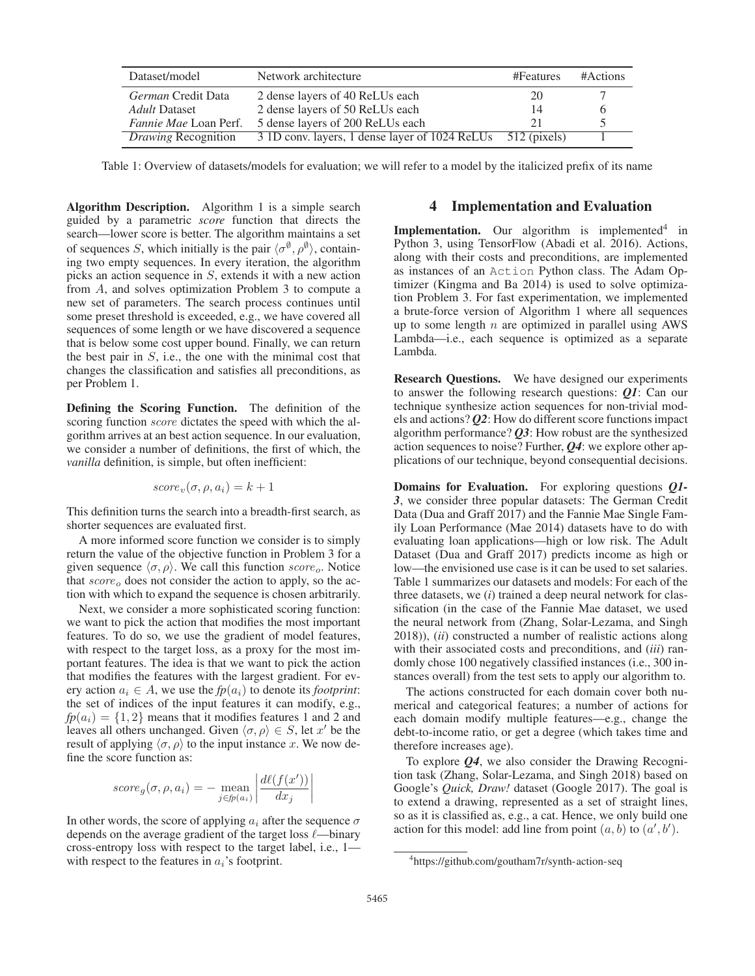| Dataset/model                | Network architecture                                        | #Features | #Actions |
|------------------------------|-------------------------------------------------------------|-----------|----------|
| <i>German</i> Credit Data    | 2 dense layers of 40 ReLUs each                             | 20        |          |
| Adult Dataset                | 2 dense layers of 50 ReLUs each                             |           |          |
| <i>Fannie Mae</i> Loan Perf. | 5 dense layers of 200 ReLUs each                            |           |          |
| <b>Drawing Recognition</b>   | 3 1D conv. layers, 1 dense layer of 1024 ReLUs 512 (pixels) |           |          |

Table 1: Overview of datasets/models for evaluation; we will refer to a model by the italicized prefix of its name

Algorithm Description. Algorithm 1 is a simple search guided by a parametric *score* function that directs the search—lower score is better. The algorithm maintains a set of sequences S, which initially is the pair  $\langle \sigma^{\emptyset}, \rho^{\emptyset} \rangle$ , containing two empty sequences. In every iteration, the algorithm picks an action sequence in S, extends it with a new action from A, and solves optimization Problem 3 to compute a new set of parameters. The search process continues until some preset threshold is exceeded, e.g., we have covered all sequences of some length or we have discovered a sequence that is below some cost upper bound. Finally, we can return the best pair in  $S$ , i.e., the one with the minimal cost that changes the classification and satisfies all preconditions, as per Problem 1.

Defining the Scoring Function. The definition of the scoring function *score* dictates the speed with which the algorithm arrives at an best action sequence. In our evaluation, we consider a number of definitions, the first of which, the *vanilla* definition, is simple, but often inefficient:

$$
score_v(\sigma, \rho, a_i) = k + 1
$$

This definition turns the search into a breadth-first search, as shorter sequences are evaluated first.

A more informed score function we consider is to simply return the value of the objective function in Problem 3 for a given sequence  $\langle \sigma, \rho \rangle$ . We call this function score<sub>o</sub>. Notice that  $score<sub>o</sub>$  does not consider the action to apply, so the action with which to expand the sequence is chosen arbitrarily.

Next, we consider a more sophisticated scoring function: we want to pick the action that modifies the most important features. To do so, we use the gradient of model features, with respect to the target loss, as a proxy for the most important features. The idea is that we want to pick the action that modifies the features with the largest gradient. For every action  $a_i \in A$ , we use the  $fp(a_i)$  to denote its *footprint*: the set of indices of the input features it can modify, e.g.,  $fp(a_i) = \{1, 2\}$  means that it modifies features 1 and 2 and leaves all others unchanged. Given  $\langle \sigma, \rho \rangle \in S$ , let x' be the result of applying  $\langle \sigma, \rho \rangle$  to the input instance x. We now define the score function as:

$$
score_g(\sigma, \rho, a_i) = -\operatorname{mean}_{j \in f p(a_i)} \left| \frac{d\ell(f(x'))}{dx_j} \right|
$$

In other words, the score of applying  $a_i$  after the sequence  $\sigma$ depends on the average gradient of the target loss  $\ell$ —binary cross-entropy loss with respect to the target label, i.e., 1 with respect to the features in  $a_i$ 's footprint.

## 4 Implementation and Evaluation

**Implementation.** Our algorithm is implemented $4$  in Python 3, using TensorFlow (Abadi et al. 2016). Actions, along with their costs and preconditions, are implemented as instances of an Action Python class. The Adam Optimizer (Kingma and Ba 2014) is used to solve optimization Problem 3. For fast experimentation, we implemented a brute-force version of Algorithm 1 where all sequences up to some length  $n$  are optimized in parallel using AWS Lambda—i.e., each sequence is optimized as a separate Lambda.

Research Questions. We have designed our experiments to answer the following research questions: *Q1*: Can our technique synthesize action sequences for non-trivial models and actions? *Q2*: How do different score functions impact algorithm performance? *Q3*: How robust are the synthesized action sequences to noise? Further, *Q4*: we explore other applications of our technique, beyond consequential decisions.

Domains for Evaluation. For exploring questions *Q1- 3*, we consider three popular datasets: The German Credit Data (Dua and Graff 2017) and the Fannie Mae Single Family Loan Performance (Mae 2014) datasets have to do with evaluating loan applications—high or low risk. The Adult Dataset (Dua and Graff 2017) predicts income as high or low—the envisioned use case is it can be used to set salaries. Table 1 summarizes our datasets and models: For each of the three datasets, we (*i*) trained a deep neural network for classification (in the case of the Fannie Mae dataset, we used the neural network from (Zhang, Solar-Lezama, and Singh 2018)), (*ii*) constructed a number of realistic actions along with their associated costs and preconditions, and (*iii*) randomly chose 100 negatively classified instances (i.e., 300 instances overall) from the test sets to apply our algorithm to.

The actions constructed for each domain cover both numerical and categorical features; a number of actions for each domain modify multiple features—e.g., change the debt-to-income ratio, or get a degree (which takes time and therefore increases age).

To explore *Q4*, we also consider the Drawing Recognition task (Zhang, Solar-Lezama, and Singh 2018) based on Google's *Quick, Draw!* dataset (Google 2017). The goal is to extend a drawing, represented as a set of straight lines, so as it is classified as, e.g., a cat. Hence, we only build one action for this model: add line from point  $(a, b)$  to  $(a', b')$ .

<sup>4</sup> https://github.com/goutham7r/synth-action-seq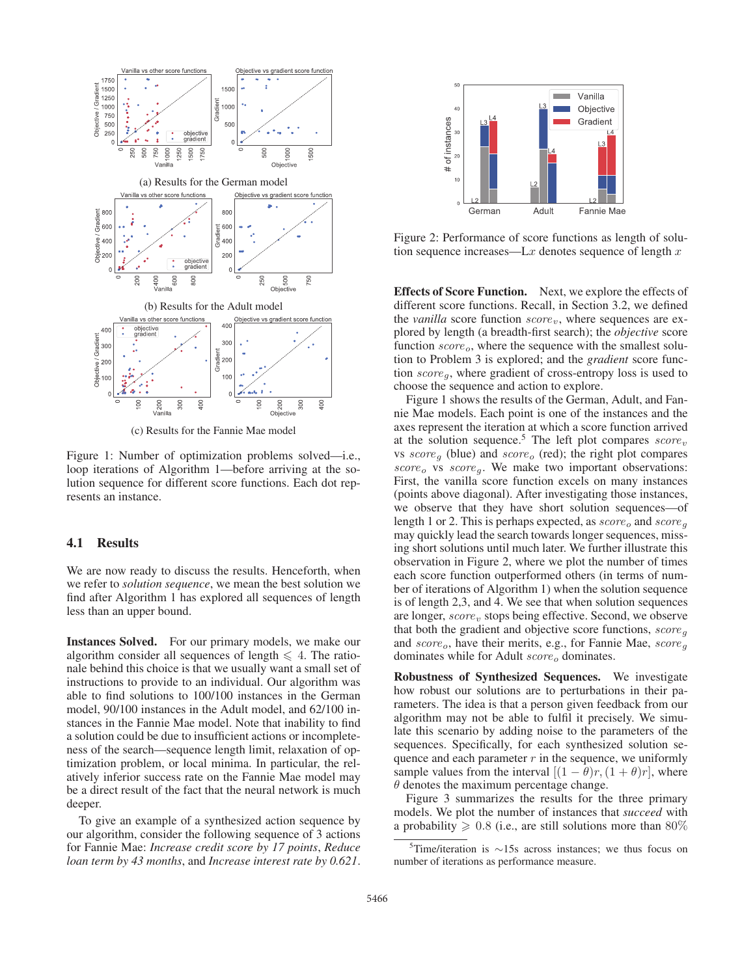

(c) Results for the Fannie Mae model

Figure 1: Number of optimization problems solved—i.e., loop iterations of Algorithm 1—before arriving at the solution sequence for different score functions. Each dot represents an instance.

### 4.1 Results

We are now ready to discuss the results. Henceforth, when we refer to *solution sequence*, we mean the best solution we find after Algorithm 1 has explored all sequences of length less than an upper bound.

Instances Solved. For our primary models, we make our algorithm consider all sequences of length  $\leq 4$ . The rationale behind this choice is that we usually want a small set of instructions to provide to an individual. Our algorithm was able to find solutions to 100/100 instances in the German model, 90/100 instances in the Adult model, and 62/100 instances in the Fannie Mae model. Note that inability to find a solution could be due to insufficient actions or incompleteness of the search—sequence length limit, relaxation of optimization problem, or local minima. In particular, the relatively inferior success rate on the Fannie Mae model may be a direct result of the fact that the neural network is much deeper.

To give an example of a synthesized action sequence by our algorithm, consider the following sequence of 3 actions for Fannie Mae: *Increase credit score by 17 points*, *Reduce loan term by 43 months*, and *Increase interest rate by 0.621*.



Figure 2: Performance of score functions as length of solution sequence increases—L $x$  denotes sequence of length  $x$ 

Effects of Score Function. Next, we explore the effects of different score functions. Recall, in Section 3.2, we defined the *vanilla* score function  $score_v$ , where sequences are explored by length (a breadth-first search); the *objective* score function  $score_o$ , where the sequence with the smallest solution to Problem 3 is explored; and the *gradient* score function  $score_q$ , where gradient of cross-entropy loss is used to choose the sequence and action to explore.

Figure 1 shows the results of the German, Adult, and Fannie Mae models. Each point is one of the instances and the axes represent the iteration at which a score function arrived at the solution sequence.<sup>5</sup> The left plot compares  $score_v$ vs  $score_{q}$  (blue) and  $score_{q}$  (red); the right plot compares  $score<sub>o</sub>$  vs  $score<sub>g</sub>$ . We make two important observations: First, the vanilla score function excels on many instances (points above diagonal). After investigating those instances, we observe that they have short solution sequences—of length 1 or 2. This is perhaps expected, as  $score_o$  and  $score_g$ may quickly lead the search towards longer sequences, missing short solutions until much later. We further illustrate this observation in Figure 2, where we plot the number of times each score function outperformed others (in terms of number of iterations of Algorithm 1) when the solution sequence is of length 2,3, and 4. We see that when solution sequences are longer,  $score_v$  stops being effective. Second, we observe that both the gradient and objective score functions,  $score_{q}$ and  $score_o$ , have their merits, e.g., for Fannie Mae,  $score_a$ dominates while for Adult  $score<sub>o</sub>$  dominates.

Robustness of Synthesized Sequences. We investigate how robust our solutions are to perturbations in their parameters. The idea is that a person given feedback from our algorithm may not be able to fulfil it precisely. We simulate this scenario by adding noise to the parameters of the sequences. Specifically, for each synthesized solution sequence and each parameter  $r$  in the sequence, we uniformly sample values from the interval  $[(1 - \theta)r, (1 + \theta)r]$ , where  $\theta$  denotes the maximum percentage change.

Figure 3 summarizes the results for the three primary models. We plot the number of instances that *succeed* with a probability  $\geq 0.8$  (i.e., are still solutions more than 80%

 $5$ Time/iteration is ∼15s across instances; we thus focus on number of iterations as performance measure.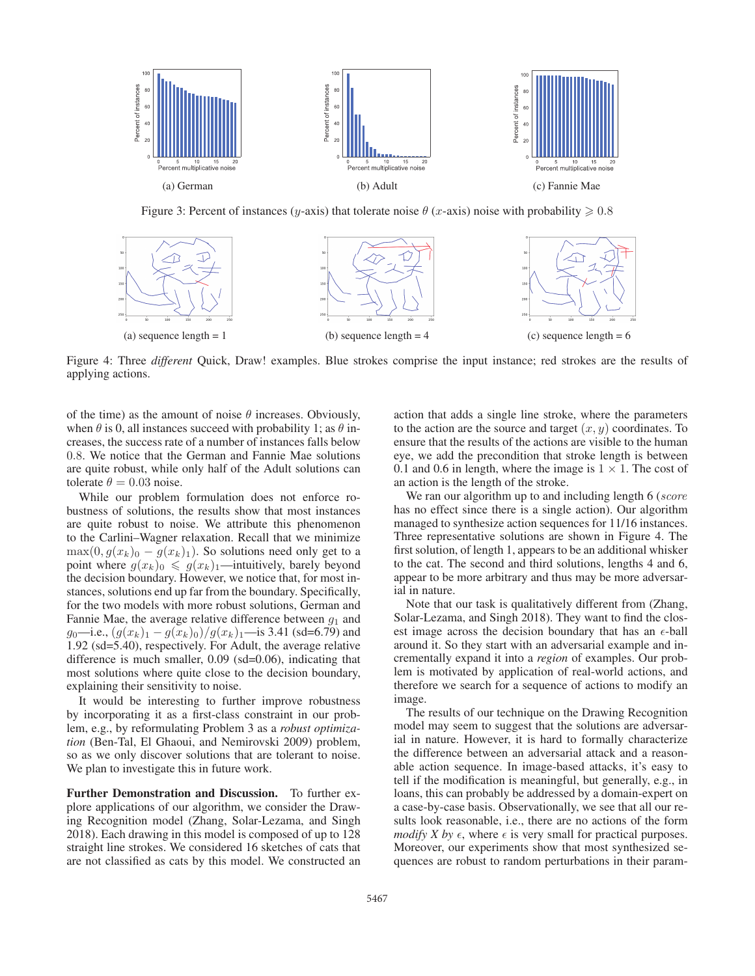

Figure 3: Percent of instances (y-axis) that tolerate noise  $\theta$  (x-axis) noise with probability  $\ge 0.8$ 



Figure 4: Three *different* Quick, Draw! examples. Blue strokes comprise the input instance; red strokes are the results of applying actions.

of the time) as the amount of noise  $\theta$  increases. Obviously, when  $\theta$  is 0, all instances succeed with probability 1; as  $\theta$  increases, the success rate of a number of instances falls below 0.8. We notice that the German and Fannie Mae solutions are quite robust, while only half of the Adult solutions can tolerate  $\theta = 0.03$  noise.

While our problem formulation does not enforce robustness of solutions, the results show that most instances are quite robust to noise. We attribute this phenomenon to the Carlini–Wagner relaxation. Recall that we minimize  $\max(0, g(x_k)_0 - g(x_k)_1)$ . So solutions need only get to a point where  $g(x_k)_0 \leq g(x_k)_1$ —intuitively, barely beyond the decision boundary. However, we notice that, for most instances, solutions end up far from the boundary. Specifically, for the two models with more robust solutions, German and Fannie Mae, the average relative difference between  $g_1$  and g<sub>0</sub>—i.e.,  $(g(x_k)_1 - g(x_k)_0)/g(x_k)_1$ —is 3.41 (sd=6.79) and 1.92 (sd=5.40), respectively. For Adult, the average relative difference is much smaller, 0.09 (sd=0.06), indicating that most solutions where quite close to the decision boundary, explaining their sensitivity to noise.

It would be interesting to further improve robustness by incorporating it as a first-class constraint in our problem, e.g., by reformulating Problem 3 as a *robust optimization* (Ben-Tal, El Ghaoui, and Nemirovski 2009) problem, so as we only discover solutions that are tolerant to noise. We plan to investigate this in future work.

Further Demonstration and Discussion. To further explore applications of our algorithm, we consider the Drawing Recognition model (Zhang, Solar-Lezama, and Singh 2018). Each drawing in this model is composed of up to 128 straight line strokes. We considered 16 sketches of cats that are not classified as cats by this model. We constructed an action that adds a single line stroke, where the parameters to the action are the source and target  $(x, y)$  coordinates. To ensure that the results of the actions are visible to the human eye, we add the precondition that stroke length is between 0.1 and 0.6 in length, where the image is  $1 \times 1$ . The cost of an action is the length of the stroke.

We ran our algorithm up to and including length 6 (score has no effect since there is a single action). Our algorithm managed to synthesize action sequences for 11/16 instances. Three representative solutions are shown in Figure 4. The first solution, of length 1, appears to be an additional whisker to the cat. The second and third solutions, lengths 4 and 6, appear to be more arbitrary and thus may be more adversarial in nature.

Note that our task is qualitatively different from (Zhang, Solar-Lezama, and Singh 2018). They want to find the closest image across the decision boundary that has an  $\epsilon$ -ball around it. So they start with an adversarial example and incrementally expand it into a *region* of examples. Our problem is motivated by application of real-world actions, and therefore we search for a sequence of actions to modify an image.

The results of our technique on the Drawing Recognition model may seem to suggest that the solutions are adversarial in nature. However, it is hard to formally characterize the difference between an adversarial attack and a reasonable action sequence. In image-based attacks, it's easy to tell if the modification is meaningful, but generally, e.g., in loans, this can probably be addressed by a domain-expert on a case-by-case basis. Observationally, we see that all our results look reasonable, i.e., there are no actions of the form *modify X by*  $\epsilon$ , where  $\epsilon$  is very small for practical purposes. Moreover, our experiments show that most synthesized sequences are robust to random perturbations in their param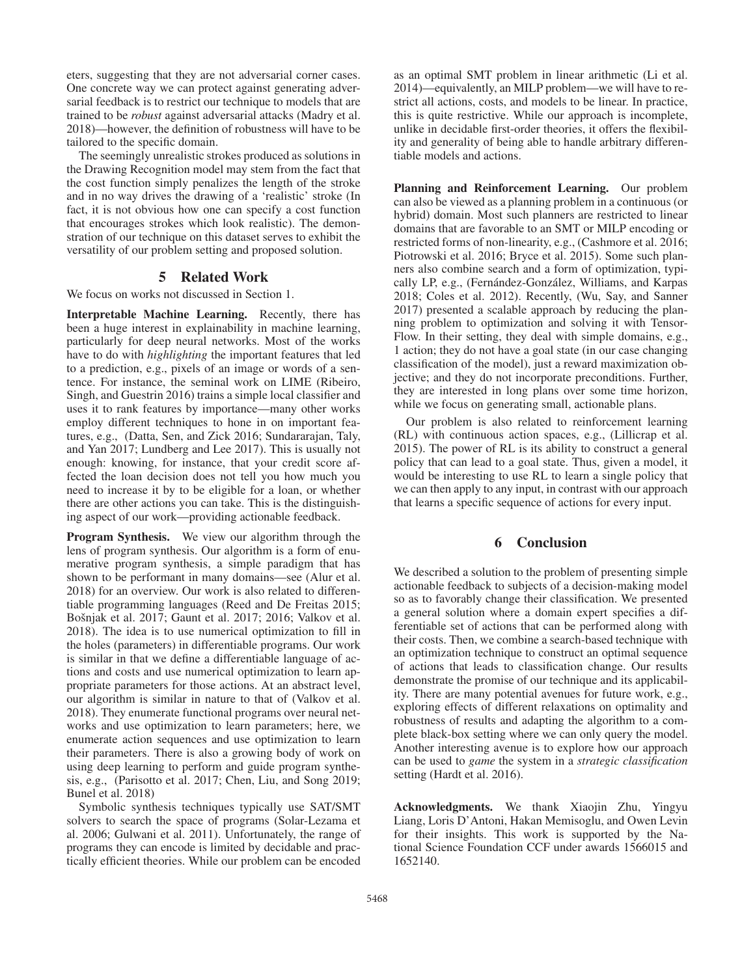eters, suggesting that they are not adversarial corner cases. One concrete way we can protect against generating adversarial feedback is to restrict our technique to models that are trained to be *robust* against adversarial attacks (Madry et al. 2018)—however, the definition of robustness will have to be tailored to the specific domain.

The seemingly unrealistic strokes produced as solutions in the Drawing Recognition model may stem from the fact that the cost function simply penalizes the length of the stroke and in no way drives the drawing of a 'realistic' stroke (In fact, it is not obvious how one can specify a cost function that encourages strokes which look realistic). The demonstration of our technique on this dataset serves to exhibit the versatility of our problem setting and proposed solution.

## 5 Related Work

We focus on works not discussed in Section 1.

Interpretable Machine Learning. Recently, there has been a huge interest in explainability in machine learning, particularly for deep neural networks. Most of the works have to do with *highlighting* the important features that led to a prediction, e.g., pixels of an image or words of a sentence. For instance, the seminal work on LIME (Ribeiro, Singh, and Guestrin 2016) trains a simple local classifier and uses it to rank features by importance—many other works employ different techniques to hone in on important features, e.g., (Datta, Sen, and Zick 2016; Sundararajan, Taly, and Yan 2017; Lundberg and Lee 2017). This is usually not enough: knowing, for instance, that your credit score affected the loan decision does not tell you how much you need to increase it by to be eligible for a loan, or whether there are other actions you can take. This is the distinguishing aspect of our work—providing actionable feedback.

Program Synthesis. We view our algorithm through the lens of program synthesis. Our algorithm is a form of enumerative program synthesis, a simple paradigm that has shown to be performant in many domains—see (Alur et al. 2018) for an overview. Our work is also related to differentiable programming languages (Reed and De Freitas 2015; Bošnjak et al. 2017; Gaunt et al. 2017; 2016; Valkov et al. 2018). The idea is to use numerical optimization to fill in the holes (parameters) in differentiable programs. Our work is similar in that we define a differentiable language of actions and costs and use numerical optimization to learn appropriate parameters for those actions. At an abstract level, our algorithm is similar in nature to that of (Valkov et al. 2018). They enumerate functional programs over neural networks and use optimization to learn parameters; here, we enumerate action sequences and use optimization to learn their parameters. There is also a growing body of work on using deep learning to perform and guide program synthesis, e.g., (Parisotto et al. 2017; Chen, Liu, and Song 2019; Bunel et al. 2018)

Symbolic synthesis techniques typically use SAT/SMT solvers to search the space of programs (Solar-Lezama et al. 2006; Gulwani et al. 2011). Unfortunately, the range of programs they can encode is limited by decidable and practically efficient theories. While our problem can be encoded

as an optimal SMT problem in linear arithmetic (Li et al. 2014)—equivalently, an MILP problem—we will have to restrict all actions, costs, and models to be linear. In practice, this is quite restrictive. While our approach is incomplete, unlike in decidable first-order theories, it offers the flexibility and generality of being able to handle arbitrary differentiable models and actions.

Planning and Reinforcement Learning. Our problem can also be viewed as a planning problem in a continuous (or hybrid) domain. Most such planners are restricted to linear domains that are favorable to an SMT or MILP encoding or restricted forms of non-linearity, e.g., (Cashmore et al. 2016; Piotrowski et al. 2016; Bryce et al. 2015). Some such planners also combine search and a form of optimization, typically LP, e.g., (Fernández-González, Williams, and Karpas 2018; Coles et al. 2012). Recently, (Wu, Say, and Sanner 2017) presented a scalable approach by reducing the planning problem to optimization and solving it with Tensor-Flow. In their setting, they deal with simple domains, e.g., 1 action; they do not have a goal state (in our case changing classification of the model), just a reward maximization objective; and they do not incorporate preconditions. Further, they are interested in long plans over some time horizon, while we focus on generating small, actionable plans.

Our problem is also related to reinforcement learning (RL) with continuous action spaces, e.g., (Lillicrap et al. 2015). The power of RL is its ability to construct a general policy that can lead to a goal state. Thus, given a model, it would be interesting to use RL to learn a single policy that we can then apply to any input, in contrast with our approach that learns a specific sequence of actions for every input.

## 6 Conclusion

We described a solution to the problem of presenting simple actionable feedback to subjects of a decision-making model so as to favorably change their classification. We presented a general solution where a domain expert specifies a differentiable set of actions that can be performed along with their costs. Then, we combine a search-based technique with an optimization technique to construct an optimal sequence of actions that leads to classification change. Our results demonstrate the promise of our technique and its applicability. There are many potential avenues for future work, e.g., exploring effects of different relaxations on optimality and robustness of results and adapting the algorithm to a complete black-box setting where we can only query the model. Another interesting avenue is to explore how our approach can be used to *game* the system in a *strategic classification* setting (Hardt et al. 2016).

Acknowledgments. We thank Xiaojin Zhu, Yingyu Liang, Loris D'Antoni, Hakan Memisoglu, and Owen Levin for their insights. This work is supported by the National Science Foundation CCF under awards 1566015 and 1652140.